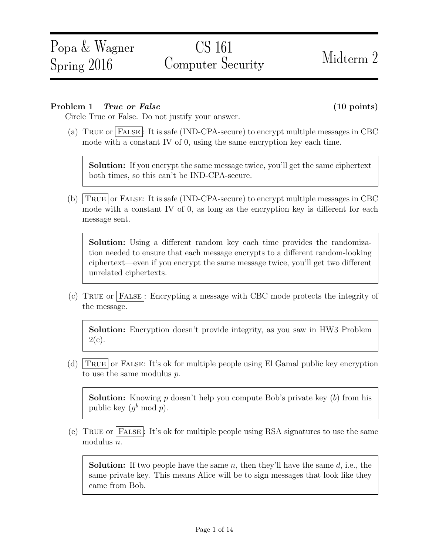# CS 161 Computer Security Midterm 2

# Problem 1 True or False (10 points)

Circle True or False. Do not justify your answer.

(a) True or False : It is safe (IND-CPA-secure) to encrypt multiple messages in CBC mode with a constant IV of 0, using the same encryption key each time.

Solution: If you encrypt the same message twice, you'll get the same ciphertext both times, so this can't be IND-CPA-secure.

(b)  $TRUE$  or FALSE: It is safe (IND-CPA-secure) to encrypt multiple messages in CBC mode with a constant IV of 0, as long as the encryption key is different for each message sent.

Solution: Using a different random key each time provides the randomization needed to ensure that each message encrypts to a different random-looking ciphertext—even if you encrypt the same message twice, you'll get two different unrelated ciphertexts.

(c) True or False : Encrypting a message with CBC mode protects the integrity of the message.

Solution: Encryption doesn't provide integrity, as you saw in HW3 Problem  $2(c).$ 

(d)  $TRUE$  or FALSE: It's ok for multiple people using El Gamal public key encryption to use the same modulus p.

**Solution:** Knowing p doesn't help you compute Bob's private key  $(b)$  from his public key  $(g^b \mod p)$ .

(e) TRUE or FALSE: It's ok for multiple people using RSA signatures to use the same modulus n.

**Solution:** If two people have the same  $n$ , then they'll have the same  $d$ , i.e., the same private key. This means Alice will be to sign messages that look like they came from Bob.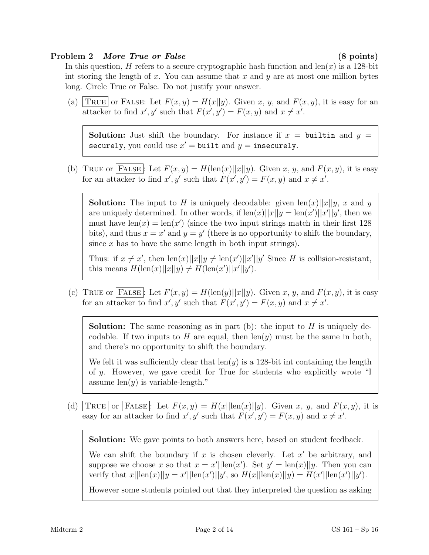### Problem 2 More True or False (8 points)

In this question, H refers to a secure cryptographic hash function and  $len(x)$  is a 128-bit int storing the length of x. You can assume that x and y are at most one million bytes long. Circle True or False. Do not justify your answer.

(a) TRUE or FALSE: Let  $F(x, y) = H(x||y)$ . Given x, y, and  $F(x, y)$ , it is easy for an attacker to find  $x', y'$  such that  $F(x', y') = F(x, y)$  and  $x \neq x'$ .

**Solution:** Just shift the boundary. For instance if  $x =$  builtin and  $y =$ securely, you could use  $x' = \text{built}$  and  $y = \text{insequently}$ .

(b) TRUE or FALSE: Let  $F(x, y) = H(\text{len}(x)||x||y)$ . Given x, y, and  $F(x, y)$ , it is easy for an attacker to find  $x', y'$  such that  $F(x', y') = F(x, y)$  and  $x \neq x'$ .

**Solution:** The input to H is uniquely decodable: given  $\text{len}(x)||x||y$ , x and y are uniquely determined. In other words, if  $\text{len}(x)||x||y = \text{len}(x')||x'||y'$ , then we must have  $len(x) = len(x')$  (since the two input strings match in their first 128) bits), and thus  $x = x'$  and  $y = y'$  (there is no opportunity to shift the boundary, since  $x$  has to have the same length in both input strings).

Thus: if  $x \neq x'$ , then  $\text{len}(x)||x||y \neq \text{len}(x')||x'||y'$  Since H is collision-resistant, this means  $H(\text{len}(x)||x||y) \neq H(\text{len}(x')||x'||y')$ .

(c) TRUE or FALSE: Let  $F(x, y) = H(\text{len}(y)||x||y)$ . Given x, y, and  $F(x, y)$ , it is easy for an attacker to find  $x', y'$  such that  $F(x', y') = F(x, y)$  and  $x \neq x'$ .

**Solution:** The same reasoning as in part (b): the input to  $H$  is uniquely decodable. If two inputs to  $H$  are equal, then  $len(y)$  must be the same in both, and there's no opportunity to shift the boundary.

We felt it was sufficiently clear that  $len(y)$  is a 128-bit int containing the length of y. However, we gave credit for True for students who explicitly wrote "I assume  $len(y)$  is variable-length."

(d) TRUE or FALSE: Let  $F(x, y) = H(x||\text{len}(x)||y)$ . Given x, y, and  $F(x, y)$ , it is easy for an attacker to find  $x', y'$  such that  $F(x', y') = F(x, y)$  and  $x \neq x'$ .

Solution: We gave points to both answers here, based on student feedback.

We can shift the boundary if x is chosen cleverly. Let  $x'$  be arbitrary, and suppose we choose x so that  $x = x'||\text{len}(x')$ . Set  $y' = \text{len}(x)||y$ . Then you can verify that  $x||\text{len}(x)||y = x'||\text{len}(x')||y'$ , so  $H(x||\text{len}(x)||y) = H(x'||\text{len}(x')||y')$ .

However some students pointed out that they interpreted the question as asking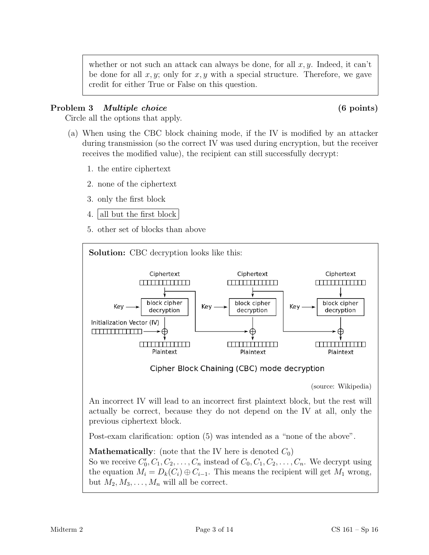whether or not such an attack can always be done, for all  $x, y$ . Indeed, it can't be done for all  $x, y$ ; only for  $x, y$  with a special structure. Therefore, we gave credit for either True or False on this question.

# Problem 3 *Multiple choice* (6 points)

Circle all the options that apply.

- (a) When using the CBC block chaining mode, if the IV is modified by an attacker during transmission (so the correct IV was used during encryption, but the receiver receives the modified value), the recipient can still successfully decrypt:
	- 1. the entire ciphertext
	- 2. none of the ciphertext
	- 3. only the first block
	- 4. all but the first block
	- 5. other set of blocks than above

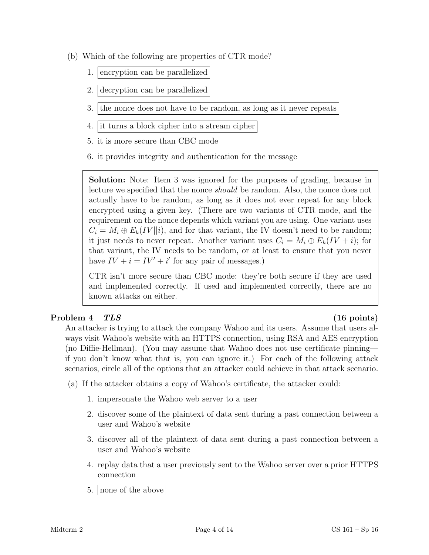- (b) Which of the following are properties of CTR mode?
	- 1. encryption can be parallelized
	- 2. decryption can be parallelized
	- 3. the nonce does not have to be random, as long as it never repeats
	- 4. it turns a block cipher into a stream cipher
	- 5. it is more secure than CBC mode
	- 6. it provides integrity and authentication for the message

Solution: Note: Item 3 was ignored for the purposes of grading, because in lecture we specified that the nonce should be random. Also, the nonce does not actually have to be random, as long as it does not ever repeat for any block encrypted using a given key. (There are two variants of CTR mode, and the requirement on the nonce depends which variant you are using. One variant uses  $C_i = M_i \oplus E_k(IV||i)$ , and for that variant, the IV doesn't need to be random; it just needs to never repeat. Another variant uses  $C_i = M_i \oplus E_k (IV + i)$ ; for that variant, the IV needs to be random, or at least to ensure that you never have  $IV + i = IV' + i'$  for any pair of messages.)

CTR isn't more secure than CBC mode: they're both secure if they are used and implemented correctly. If used and implemented correctly, there are no known attacks on either.

# Problem 4 TLS (16 points)

An attacker is trying to attack the company Wahoo and its users. Assume that users always visit Wahoo's website with an HTTPS connection, using RSA and AES encryption (no Diffie-Hellman). (You may assume that Wahoo does not use certificate pinning if you don't know what that is, you can ignore it.) For each of the following attack scenarios, circle all of the options that an attacker could achieve in that attack scenario.

- (a) If the attacker obtains a copy of Wahoo's certificate, the attacker could:
	- 1. impersonate the Wahoo web server to a user
	- 2. discover some of the plaintext of data sent during a past connection between a user and Wahoo's website
	- 3. discover all of the plaintext of data sent during a past connection between a user and Wahoo's website
	- 4. replay data that a user previously sent to the Wahoo server over a prior HTTPS connection
	- 5. none of the above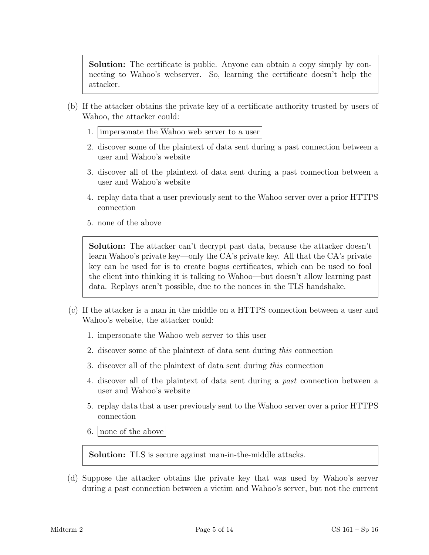Solution: The certificate is public. Anyone can obtain a copy simply by connecting to Wahoo's webserver. So, learning the certificate doesn't help the attacker.

- (b) If the attacker obtains the private key of a certificate authority trusted by users of Wahoo, the attacker could:
	- 1. impersonate the Wahoo web server to a user
	- 2. discover some of the plaintext of data sent during a past connection between a user and Wahoo's website
	- 3. discover all of the plaintext of data sent during a past connection between a user and Wahoo's website
	- 4. replay data that a user previously sent to the Wahoo server over a prior HTTPS connection
	- 5. none of the above

Solution: The attacker can't decrypt past data, because the attacker doesn't learn Wahoo's private key—only the CA's private key. All that the CA's private key can be used for is to create bogus certificates, which can be used to fool the client into thinking it is talking to Wahoo—but doesn't allow learning past data. Replays aren't possible, due to the nonces in the TLS handshake.

- (c) If the attacker is a man in the middle on a HTTPS connection between a user and Wahoo's website, the attacker could:
	- 1. impersonate the Wahoo web server to this user
	- 2. discover some of the plaintext of data sent during this connection
	- 3. discover all of the plaintext of data sent during this connection
	- 4. discover all of the plaintext of data sent during a past connection between a user and Wahoo's website
	- 5. replay data that a user previously sent to the Wahoo server over a prior HTTPS connection
	- 6. none of the above

Solution: TLS is secure against man-in-the-middle attacks.

(d) Suppose the attacker obtains the private key that was used by Wahoo's server during a past connection between a victim and Wahoo's server, but not the current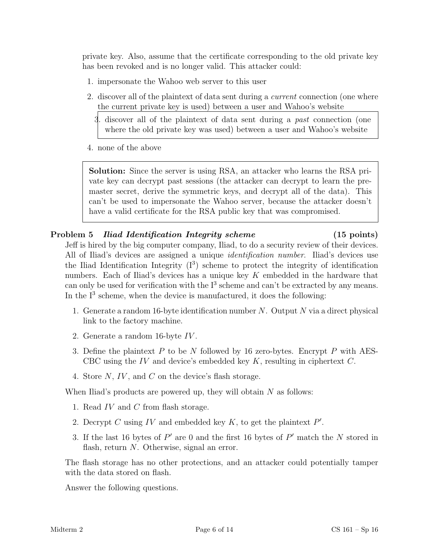private key. Also, assume that the certificate corresponding to the old private key has been revoked and is no longer valid. This attacker could:

- 1. impersonate the Wahoo web server to this user
- 2. discover all of the plaintext of data sent during a current connection (one where the current private key is used) between a user and Wahoo's website
	- 3. discover all of the plaintext of data sent during a past connection (one where the old private key was used) between a user and Wahoo's website
- 4. none of the above

Solution: Since the server is using RSA, an attacker who learns the RSA private key can decrypt past sessions (the attacker can decrypt to learn the premaster secret, derive the symmetric keys, and decrypt all of the data). This can't be used to impersonate the Wahoo server, because the attacker doesn't have a valid certificate for the RSA public key that was compromised.

# Problem 5 *Iliad Identification Integrity scheme* (15 points)

Jeff is hired by the big computer company, Iliad, to do a security review of their devices. All of Iliad's devices are assigned a unique identification number. Iliad's devices use the Iliad Identification Integrity  $(I^3)$  scheme to protect the integrity of identification numbers. Each of Iliad's devices has a unique key K embedded in the hardware that can only be used for verification with the  $I<sup>3</sup>$  scheme and can't be extracted by any means. In the  $I<sup>3</sup>$  scheme, when the device is manufactured, it does the following:

- 1. Generate a random 16-byte identification number N. Output N via a direct physical link to the factory machine.
- 2. Generate a random 16-byte IV .
- 3. Define the plaintext  $P$  to be  $N$  followed by 16 zero-bytes. Encrypt  $P$  with AES-CBC using the IV and device's embedded key  $K$ , resulting in ciphertext  $C$ .
- 4. Store N, IV , and C on the device's flash storage.

When Iliad's products are powered up, they will obtain  $N$  as follows:

- 1. Read  $IV$  and  $C$  from flash storage.
- 2. Decrypt C using IV and embedded key  $K$ , to get the plaintext  $P'$ .
- 3. If the last 16 bytes of  $P'$  are 0 and the first 16 bytes of  $P'$  match the N stored in flash, return  $N$ . Otherwise, signal an error.

The flash storage has no other protections, and an attacker could potentially tamper with the data stored on flash.

Answer the following questions.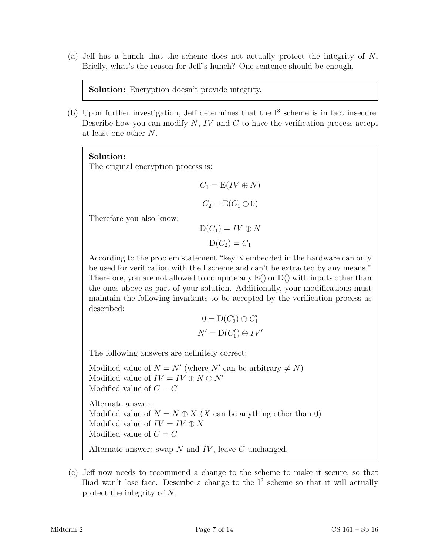(a) Jeff has a hunch that the scheme does not actually protect the integrity of N. Briefly, what's the reason for Jeff's hunch? One sentence should be enough.

Solution: Encryption doesn't provide integrity.

(b) Upon further investigation, Jeff determines that the  $I<sup>3</sup>$  scheme is in fact insecure. Describe how you can modify  $N$ ,  $IV$  and  $C$  to have the verification process accept at least one other N.

### Solution:

The original encryption process is:

$$
C_1 = E(IV \oplus N)
$$

$$
C_2 = E(C_1 \oplus 0)
$$

Therefore you also know:

$$
D(C_1) = IV \oplus N
$$

$$
D(C_2) = C_1
$$

According to the problem statement "key K embedded in the hardware can only be used for verification with the I scheme and can't be extracted by any means." Therefore, you are not allowed to compute any  $E()$  or  $D()$  with inputs other than the ones above as part of your solution. Additionally, your modifications must maintain the following invariants to be accepted by the verification process as described:

$$
0 = D(C'_2) \oplus C'_1
$$
  

$$
N' = D(C'_1) \oplus IV'
$$

The following answers are definitely correct:

Modified value of  $N = N'$  (where N' can be arbitrary  $\neq N$ ) Modified value of  $IV = IV \oplus N \oplus N'$ Modified value of  $C = C$ Alternate answer: Modified value of  $N = N \oplus X$  (X can be anything other than 0) Modified value of  $IV = IV \oplus X$ Modified value of  $C = C$ Alternate answer: swap  $N$  and  $IV$ , leave  $C$  unchanged.

<sup>(</sup>c) Jeff now needs to recommend a change to the scheme to make it secure, so that Iliad won't lose face. Describe a change to the  $I<sup>3</sup>$  scheme so that it will actually protect the integrity of N.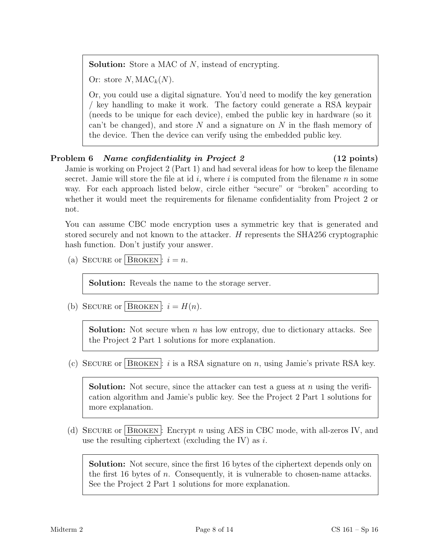**Solution:** Store a MAC of N, instead of encrypting.

Or: store  $N, \text{MAC}_k(N)$ .

Or, you could use a digital signature. You'd need to modify the key generation / key handling to make it work. The factory could generate a RSA keypair (needs to be unique for each device), embed the public key in hardware (so it can't be changed), and store  $N$  and a signature on  $N$  in the flash memory of the device. Then the device can verify using the embedded public key.

# Problem 6 Name confidentiality in Project 2 (12 points)

Jamie is working on Project 2 (Part 1) and had several ideas for how to keep the filename secret. Jamie will store the file at id i, where i is computed from the filename  $n$  in some way. For each approach listed below, circle either "secure" or "broken" according to whether it would meet the requirements for filename confidentiality from Project 2 or not.

You can assume CBC mode encryption uses a symmetric key that is generated and stored securely and not known to the attacker. H represents the SHA256 cryptographic hash function. Don't justify your answer.

(a) SECURE or BROKEN :  $i = n$ .

Solution: Reveals the name to the storage server.

(b) SECURE or BROKEN:  $i = H(n)$ .

**Solution:** Not secure when n has low entropy, due to dictionary attacks. See the Project 2 Part 1 solutions for more explanation.

(c) SECURE or BROKEN: i is a RSA signature on n, using Jamie's private RSA key.

**Solution:** Not secure, since the attacker can test a guess at n using the verification algorithm and Jamie's public key. See the Project 2 Part 1 solutions for more explanation.

(d) SECURE or BROKEN: Encrypt n using AES in CBC mode, with all-zeros IV, and use the resulting ciphertext (excluding the IV) as  $i$ .

Solution: Not secure, since the first 16 bytes of the ciphertext depends only on the first 16 bytes of  $n$ . Consequently, it is vulnerable to chosen-name attacks. See the Project 2 Part 1 solutions for more explanation.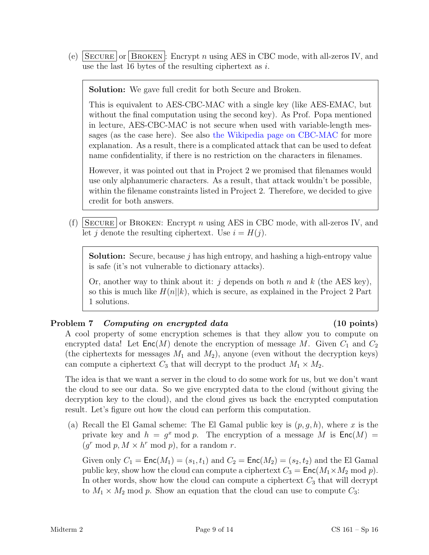(e)  $\lvert$  SECURE  $\lvert$  or  $\lvert$  BROKEN : Encrypt n using AES in CBC mode, with all-zeros IV, and use the last 16 bytes of the resulting ciphertext as  $i$ .

Solution: We gave full credit for both Secure and Broken.

This is equivalent to AES-CBC-MAC with a single key (like AES-EMAC, but without the final computation using the second key). As Prof. Popa mentioned in lecture, AES-CBC-MAC is not secure when used with variable-length messages (as the case here). See also [the Wikipedia page on CBC-MAC](https://en.wikipedia.org/wiki/CBC-MAC#Security_with_fixed_and_variable-length_messages) for more explanation. As a result, there is a complicated attack that can be used to defeat name confidentiality, if there is no restriction on the characters in filenames.

However, it was pointed out that in Project 2 we promised that filenames would use only alphanumeric characters. As a result, that attack wouldn't be possible, within the filename constraints listed in Project 2. Therefore, we decided to give credit for both answers.

(f) SECURE or BROKEN: Encrypt n using AES in CBC mode, with all-zeros IV, and let j denote the resulting ciphertext. Use  $i = H(j)$ .

**Solution:** Secure, because  $j$  has high entropy, and hashing a high-entropy value is safe (it's not vulnerable to dictionary attacks).

Or, another way to think about it: j depends on both n and k (the AES key), so this is much like  $H(n||k)$ , which is secure, as explained in the Project 2 Part 1 solutions.

# Problem 7 Computing on encrypted data (10 points)

A cool property of some encryption schemes is that they allow you to compute on encrypted data! Let  $\mathsf{Enc}(M)$  denote the encryption of message M. Given  $C_1$  and  $C_2$ (the ciphertexts for messages  $M_1$  and  $M_2$ ), anyone (even without the decryption keys) can compute a ciphertext  $C_3$  that will decrypt to the product  $M_1 \times M_2$ .

The idea is that we want a server in the cloud to do some work for us, but we don't want the cloud to see our data. So we give encrypted data to the cloud (without giving the decryption key to the cloud), and the cloud gives us back the encrypted computation result. Let's figure out how the cloud can perform this computation.

(a) Recall the El Gamal scheme: The El Gamal public key is  $(p, q, h)$ , where x is the private key and  $h = g^x \mod p$ . The encryption of a message M is  $\mathsf{Enc}(M) =$  $(g<sup>r</sup> \mod p, M \times h<sup>r</sup> \mod p)$ , for a random r.

Given only  $C_1 = \text{Enc}(M_1) = (s_1, t_1)$  and  $C_2 = \text{Enc}(M_2) = (s_2, t_2)$  and the El Gamal public key, show how the cloud can compute a ciphertext  $C_3 = \text{Enc}(M_1 \times M_2 \text{ mod } p)$ . In other words, show how the cloud can compute a ciphertext  $C_3$  that will decrypt to  $M_1 \times M_2$  mod p. Show an equation that the cloud can use to compute  $C_3$ :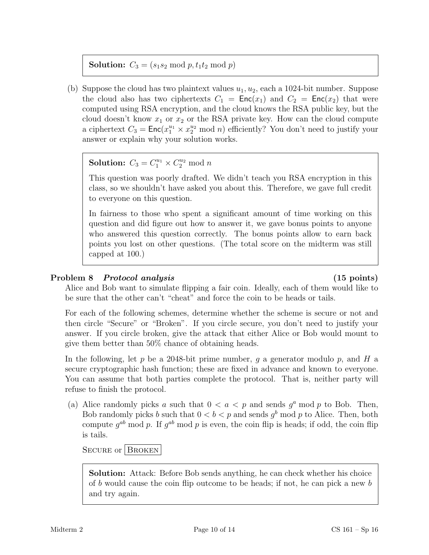**Solution:**  $C_3 = (s_1 s_2 \mod p, t_1 t_2 \mod p)$ 

(b) Suppose the cloud has two plaintext values  $u_1, u_2$ , each a 1024-bit number. Suppose the cloud also has two ciphertexts  $C_1 = \text{Enc}(x_1)$  and  $C_2 = \text{Enc}(x_2)$  that were computed using RSA encryption, and the cloud knows the RSA public key, but the cloud doesn't know  $x_1$  or  $x_2$  or the RSA private key. How can the cloud compute a ciphertext  $C_3 = \mathsf{Enc}(x_1^{u_1} \times x_2^{u_2} \mod n)$  efficiently? You don't need to justify your answer or explain why your solution works.

**Solution:**  $C_3 = C_1^{u_1} \times C_2^{u_2} \mod n$ 

This question was poorly drafted. We didn't teach you RSA encryption in this class, so we shouldn't have asked you about this. Therefore, we gave full credit to everyone on this question.

In fairness to those who spent a significant amount of time working on this question and did figure out how to answer it, we gave bonus points to anyone who answered this question correctly. The bonus points allow to earn back points you lost on other questions. (The total score on the midterm was still capped at 100.)

# Problem 8 Protocol analysis (15 points)

Alice and Bob want to simulate flipping a fair coin. Ideally, each of them would like to be sure that the other can't "cheat" and force the coin to be heads or tails.

For each of the following schemes, determine whether the scheme is secure or not and then circle "Secure" or "Broken". If you circle secure, you don't need to justify your answer. If you circle broken, give the attack that either Alice or Bob would mount to give them better than 50% chance of obtaining heads.

In the following, let p be a 2048-bit prime number, q a generator modulo p, and H a secure cryptographic hash function; these are fixed in advance and known to everyone. You can assume that both parties complete the protocol. That is, neither party will refuse to finish the protocol.

(a) Alice randomly picks a such that  $0 < a < p$  and sends  $g^a$  mod p to Bob. Then, Bob randomly picks b such that  $0 < b < p$  and sends  $g<sup>b</sup>$  mod p to Alice. Then, both compute  $g^{ab}$  mod p. If  $g^{ab}$  mod p is even, the coin flip is heads; if odd, the coin flip is tails.

SECURE or BROKEN

Solution: Attack: Before Bob sends anything, he can check whether his choice of b would cause the coin flip outcome to be heads; if not, he can pick a new b and try again.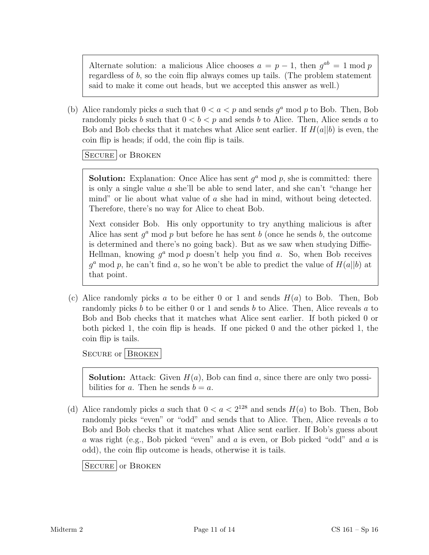Alternate solution: a malicious Alice chooses  $a = p - 1$ , then  $g^{ab} = 1 \text{ mod } p$ regardless of b, so the coin flip always comes up tails. (The problem statement said to make it come out heads, but we accepted this answer as well.)

(b) Alice randomly picks a such that  $0 < a < p$  and sends  $g^a$  mod p to Bob. Then, Bob randomly picks b such that  $0 < b < p$  and sends b to Alice. Then, Alice sends a to Bob and Bob checks that it matches what Alice sent earlier. If  $H(a||b)$  is even, the coin flip is heads; if odd, the coin flip is tails.

SECURE or BROKEN

**Solution:** Explanation: Once Alice has sent  $g^a$  mod p, she is committed: there is only a single value a she'll be able to send later, and she can't "change her mind" or lie about what value of a she had in mind, without being detected. Therefore, there's no way for Alice to cheat Bob.

Next consider Bob. His only opportunity to try anything malicious is after Alice has sent  $g^a$  mod p but before he has sent b (once he sends b, the outcome is determined and there's no going back). But as we saw when studying Diffie-Hellman, knowing  $g^a$  mod p doesn't help you find a. So, when Bob receives  $g^a$  mod p, he can't find a, so he won't be able to predict the value of  $H(a||b)$  at that point.

(c) Alice randomly picks a to be either 0 or 1 and sends  $H(a)$  to Bob. Then, Bob randomly picks  $b$  to be either 0 or 1 and sends  $b$  to Alice. Then, Alice reveals  $a$  to Bob and Bob checks that it matches what Alice sent earlier. If both picked 0 or both picked 1, the coin flip is heads. If one picked 0 and the other picked 1, the coin flip is tails.

SECURE or BROKEN

**Solution:** Attack: Given  $H(a)$ , Bob can find a, since there are only two possibilities for a. Then he sends  $b = a$ .

(d) Alice randomly picks a such that  $0 < a < 2^{128}$  and sends  $H(a)$  to Bob. Then, Bob randomly picks "even" or "odd" and sends that to Alice. Then, Alice reveals a to Bob and Bob checks that it matches what Alice sent earlier. If Bob's guess about a was right (e.g., Bob picked "even" and a is even, or Bob picked "odd" and a is odd), the coin flip outcome is heads, otherwise it is tails.

SECURE or BROKEN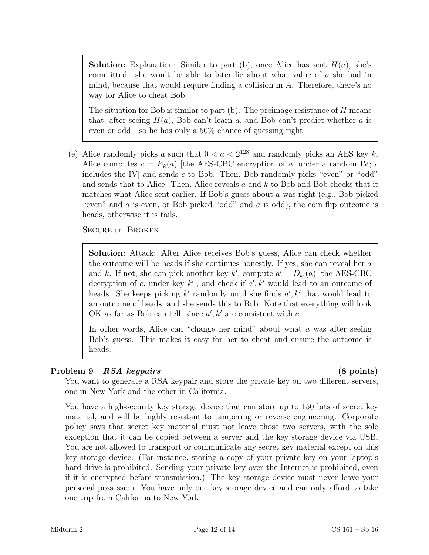**Solution:** Explanation: Similar to part (b), once Alice has sent  $H(a)$ , she's committed—she won't be able to later lie about what value of a she had in mind, because that would require finding a collision in A. Therefore, there's no way for Alice to cheat Bob.

The situation for Bob is similar to part  $(b)$ . The preimage resistance of  $H$  means that, after seeing  $H(a)$ , Bob can't learn a, and Bob can't predict whether a is even or odd—so he has only a 50% chance of guessing right.

(e) Alice randomly picks a such that  $0 < a < 2^{128}$  and randomly picks an AES key k. Alice computes  $c = E_k(a)$  [the AES-CBC encryption of a, under a random IV; c includes the IV and sends c to Bob. Then, Bob randomly picks "even" or "odd" and sends that to Alice. Then, Alice reveals  $a$  and  $k$  to Bob and Bob checks that it matches what Alice sent earlier. If Bob's guess about  $a$  was right (e.g., Bob picked "even" and  $a$  is even, or Bob picked "odd" and  $a$  is odd), the coin flip outcome is heads, otherwise it is tails.

SECURE or BROKEN

Solution: Attack: After Alice receives Bob's guess, Alice can check whether the outcome will be heads if she continues honestly. If yes, she can reveal her a and k. If not, she can pick another key k', compute  $a' = D_{k'}(a)$  [the AES-CBC] decryption of c, under key  $k'$ , and check if  $a', k'$  would lead to an outcome of heads. She keeps picking  $k'$  randomly until she finds  $a', k'$  that would lead to an outcome of heads, and she sends this to Bob. Note that everything will look OK as far as Bob can tell, since  $a', k'$  are consistent with c.

In other words, Alice can "change her mind" about what a was after seeing Bob's guess. This makes it easy for her to cheat and ensure the outcome is heads.

# Problem 9 RSA keypairs (8 points)

You want to generate a RSA keypair and store the private key on two different servers, one in New York and the other in California.

You have a high-security key storage device that can store up to 150 bits of secret key material, and will be highly resistant to tampering or reverse engineering. Corporate policy says that secret key material must not leave those two servers, with the sole exception that it can be copied between a server and the key storage device via USB. You are not allowed to transport or communicate any secret key material except on this key storage device. (For instance, storing a copy of your private key on your laptop's hard drive is prohibited. Sending your private key over the Internet is prohibited, even if it is encrypted before transmission.) The key storage device must never leave your personal possession. You have only one key storage device and can only afford to take one trip from California to New York.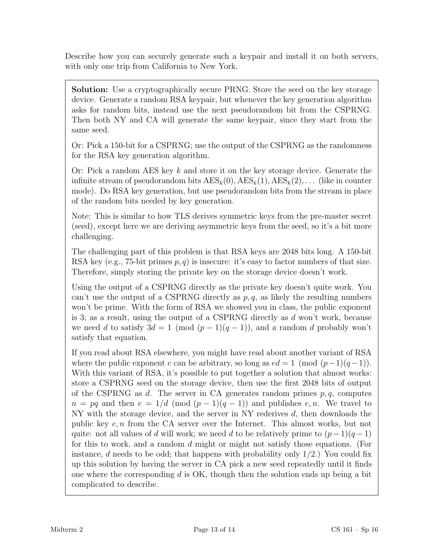Describe how you can securely generate such a keypair and install it on both servers, with only one trip from California to New York.

Solution: Use a cryptographically secure PRNG. Store the seed on the key storage device. Generate a random RSA keypair, but whenever the key generation algorithm asks for random bits, instead use the next pseudorandom bit from the CSPRNG. Then both NY and CA will generate the same keypair, since they start from the same seed.

Or: Pick a 150-bit for a CSPRNG; use the output of the CSPRNG as the randomness for the RSA key generation algorithm.

Or: Pick a random AES key k and store it on the key storage device. Generate the infinite stream of pseudorandom bits  $\text{AES}_k(0), \text{AES}_k(1), \text{AES}_k(2), \ldots$  (like in counter mode). Do RSA key generation, but use pseudorandom bits from the stream in place of the random bits needed by key generation.

Note: This is similar to how TLS derives symmetric keys from the pre-master secret (seed), except here we are deriving asymmetric keys from the seed, so it's a bit more challenging.

The challenging part of this problem is that RSA keys are 2048 bits long. A 150-bit RSA key (e.g., 75-bit primes  $p, q$ ) is insecure: it's easy to factor numbers of that size. Therefore, simply storing the private key on the storage device doesn't work.

Using the output of a CSPRNG directly as the private key doesn't quite work. You can't use the output of a CSPRNG directly as  $p, q$ , as likely the resulting numbers won't be prime. With the form of RSA we showed you in class, the public exponent is 3; as a result, using the output of a CSPRNG directly as  $d$  won't work, because we need d to satisfy  $3d = 1 \pmod{(p-1)(q-1)}$ , and a random d probably won't satisfy that equation.

If you read about RSA elsewhere, you might have read about another variant of RSA where the public exponent e can be arbitrary, so long as  $ed = 1 \pmod{(p-1)(q-1)}$ . With this variant of RSA, it's possible to put together a solution that almost works: store a CSPRNG seed on the storage device, then use the first 2048 bits of output of the CSPRNG as d. The server in CA generates random primes  $p, q$ , computes  $n = pq$  and then  $e = 1/d \pmod{p-1(q-1)}$  and publishes e, n. We travel to NY with the storage device, and the server in NY rederives d, then downloads the public key e, n from the CA server over the Internet. This almost works, but not quite: not all values of d will work; we need d to be relatively prime to  $(p-1)(q-1)$ for this to work, and a random d might or might not satisfy those equations. (For instance, d needs to be odd; that happens with probability only  $1/2$ .) You could fix up this solution by having the server in CA pick a new seed repeatedly until it finds one where the corresponding  $d$  is OK, though then the solution ends up being a bit complicated to describe.